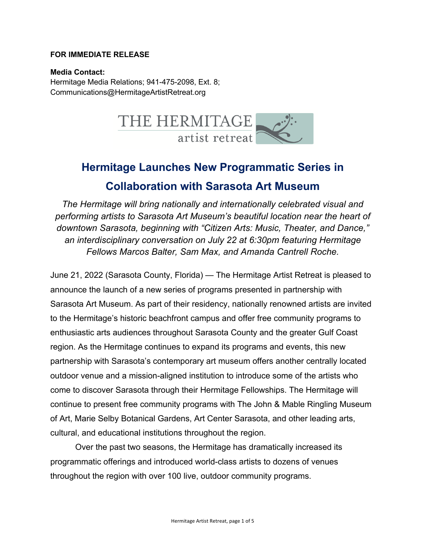#### **FOR IMMEDIATE RELEASE**

**Media Contact:** Hermitage Media Relations; 941-475-2098, Ext. 8; Communications@HermitageArtistRetreat.org



# **Hermitage Launches New Programmatic Series in Collaboration with Sarasota Art Museum**

*The Hermitage will bring nationally and internationally celebrated visual and performing artists to Sarasota Art Museum's beautiful location near the heart of downtown Sarasota, beginning with "Citizen Arts: Music, Theater, and Dance," an interdisciplinary conversation on July 22 at 6:30pm featuring Hermitage Fellows Marcos Balter, Sam Max, and Amanda Cantrell Roche.* 

June 21, 2022 (Sarasota County, Florida) — The Hermitage Artist Retreat is pleased to announce the launch of a new series of programs presented in partnership with Sarasota Art Museum. As part of their residency, nationally renowned artists are invited to the Hermitage's historic beachfront campus and offer free community programs to enthusiastic arts audiences throughout Sarasota County and the greater Gulf Coast region. As the Hermitage continues to expand its programs and events, this new partnership with Sarasota's contemporary art museum offers another centrally located outdoor venue and a mission-aligned institution to introduce some of the artists who come to discover Sarasota through their Hermitage Fellowships. The Hermitage will continue to present free community programs with The John & Mable Ringling Museum of Art, Marie Selby Botanical Gardens, Art Center Sarasota, and other leading arts, cultural, and educational institutions throughout the region.

Over the past two seasons, the Hermitage has dramatically increased its programmatic offerings and introduced world-class artists to dozens of venues throughout the region with over 100 live, outdoor community programs.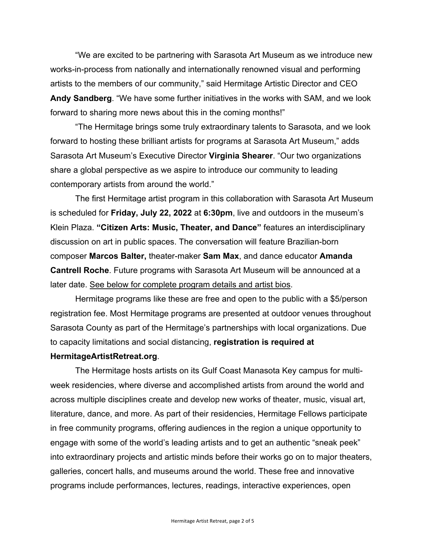"We are excited to be partnering with Sarasota Art Museum as we introduce new works-in-process from nationally and internationally renowned visual and performing artists to the members of our community," said Hermitage Artistic Director and CEO **Andy Sandberg**. "We have some further initiatives in the works with SAM, and we look forward to sharing more news about this in the coming months!"

"The Hermitage brings some truly extraordinary talents to Sarasota, and we look forward to hosting these brilliant artists for programs at Sarasota Art Museum," adds Sarasota Art Museum's Executive Director **Virginia Shearer**. "Our two organizations share a global perspective as we aspire to introduce our community to leading contemporary artists from around the world."

The first Hermitage artist program in this collaboration with Sarasota Art Museum is scheduled for **Friday, July 22, 2022** at **6:30pm**, live and outdoors in the museum's Klein Plaza. **"Citizen Arts: Music, Theater, and Dance"** features an interdisciplinary discussion on art in public spaces. The conversation will feature Brazilian-born composer **Marcos Balter,** theater-maker **Sam Max**, and dance educator **Amanda Cantrell Roche**. Future programs with Sarasota Art Museum will be announced at a later date. See below for complete program details and artist bios.

Hermitage programs like these are free and open to the public with a \$5/person registration fee. Most Hermitage programs are presented at outdoor venues throughout Sarasota County as part of the Hermitage's partnerships with local organizations. Due to capacity limitations and social distancing, **registration is required at** 

#### **HermitageArtistRetreat.org**.

The Hermitage hosts artists on its Gulf Coast Manasota Key campus for multiweek residencies, where diverse and accomplished artists from around the world and across multiple disciplines create and develop new works of theater, music, visual art, literature, dance, and more. As part of their residencies, Hermitage Fellows participate in free community programs, offering audiences in the region a unique opportunity to engage with some of the world's leading artists and to get an authentic "sneak peek" into extraordinary projects and artistic minds before their works go on to major theaters, galleries, concert halls, and museums around the world. These free and innovative programs include performances, lectures, readings, interactive experiences, open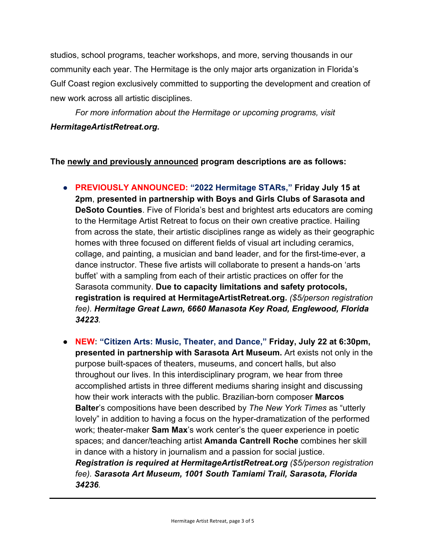studios, school programs, teacher workshops, and more, serving thousands in our community each year. The Hermitage is the only major arts organization in Florida's Gulf Coast region exclusively committed to supporting the development and creation of new work across all artistic disciplines.

*For more information about the Hermitage or upcoming programs, visit HermitageArtistRetreat.org.*

# **The newly and previously announced program descriptions are as follows:**

- **PREVIOUSLY ANNOUNCED: "2022 Hermitage STARs," Friday July 15 at 2pm**, **presented in partnership with Boys and Girls Clubs of Sarasota and DeSoto Counties**. Five of Florida's best and brightest arts educators are coming to the Hermitage Artist Retreat to focus on their own creative practice. Hailing from across the state, their artistic disciplines range as widely as their geographic homes with three focused on different fields of visual art including ceramics, collage, and painting, a musician and band leader, and for the first-time-ever, a dance instructor. These five artists will collaborate to present a hands-on 'arts buffet' with a sampling from each of their artistic practices on offer for the Sarasota community. **Due to capacity limitations and safety protocols, registration is required at HermitageArtistRetreat.org.** *(\$5/person registration fee). Hermitage Great Lawn, 6660 Manasota Key Road, Englewood, Florida 34223.*
- **NEW: "Citizen Arts: Music, Theater, and Dance," Friday, July 22 at 6:30pm, presented in partnership with Sarasota Art Museum.** Art exists not only in the purpose built-spaces of theaters, museums, and concert halls, but also throughout our lives. In this interdisciplinary program, we hear from three accomplished artists in three different mediums sharing insight and discussing how their work interacts with the public. Brazilian-born composer **Marcos Balter**'s compositions have been described by *The New York Times* as "utterly lovely" in addition to having a focus on the hyper-dramatization of the performed work; theater-maker **Sam Max**'s work center's the queer experience in poetic spaces; and dancer/teaching artist **Amanda Cantrell Roche** combines her skill in dance with a history in journalism and a passion for social justice. *Registration is required at HermitageArtistRetreat.org (\$5/person registration fee). Sarasota Art Museum, 1001 South Tamiami Trail, Sarasota, Florida 34236.*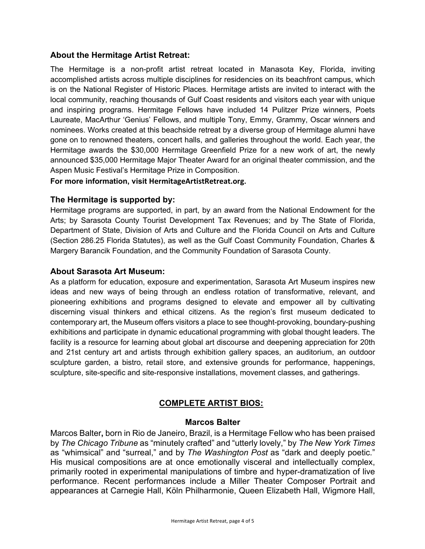# **About the Hermitage Artist Retreat:**

The Hermitage is a non-profit artist retreat located in Manasota Key, Florida, inviting accomplished artists across multiple disciplines for residencies on its beachfront campus, which is on the National Register of Historic Places. Hermitage artists are invited to interact with the local community, reaching thousands of Gulf Coast residents and visitors each year with unique and inspiring programs. Hermitage Fellows have included 14 Pulitzer Prize winners, Poets Laureate, MacArthur 'Genius' Fellows, and multiple Tony, Emmy, Grammy, Oscar winners and nominees. Works created at this beachside retreat by a diverse group of Hermitage alumni have gone on to renowned theaters, concert halls, and galleries throughout the world. Each year, the Hermitage awards the \$30,000 Hermitage Greenfield Prize for a new work of art, the newly announced \$35,000 Hermitage Major Theater Award for an original theater commission, and the Aspen Music Festival's Hermitage Prize in Composition.

#### **For more information, visit HermitageArtistRetreat.org.**

#### **The Hermitage is supported by:**

Hermitage programs are supported, in part, by an award from the National Endowment for the Arts; by Sarasota County Tourist Development Tax Revenues; and by The State of Florida, Department of State, Division of Arts and Culture and the Florida Council on Arts and Culture (Section 286.25 Florida Statutes), as well as the Gulf Coast Community Foundation, Charles & Margery Barancik Foundation, and the Community Foundation of Sarasota County.

#### **About Sarasota Art Museum:**

As a platform for education, exposure and experimentation, Sarasota Art Museum inspires new ideas and new ways of being through an endless rotation of transformative, relevant, and pioneering exhibitions and programs designed to elevate and empower all by cultivating discerning visual thinkers and ethical citizens. As the region's first museum dedicated to contemporary art, the Museum offers visitors a place to see thought-provoking, boundary-pushing exhibitions and participate in dynamic educational programming with global thought leaders. The facility is a resource for learning about global art discourse and deepening appreciation for 20th and 21st century art and artists through exhibition gallery spaces, an auditorium, an outdoor sculpture garden, a bistro, retail store, and extensive grounds for performance, happenings, sculpture, site-specific and site-responsive installations, movement classes, and gatherings.

# **COMPLETE ARTIST BIOS:**

#### **Marcos Balter**

Marcos Balter**,** born in Rio de Janeiro, Brazil, is a Hermitage Fellow who has been praised by *The Chicago Tribune* as "minutely crafted" and "utterly lovely," by *The New York Times* as "whimsical" and "surreal," and by *The Washington Post* as "dark and deeply poetic." His musical compositions are at once emotionally visceral and intellectually complex, primarily rooted in experimental manipulations of timbre and hyper-dramatization of live performance. Recent performances include a Miller Theater Composer Portrait and appearances at Carnegie Hall, Köln Philharmonie, Queen Elizabeth Hall, Wigmore Hall,